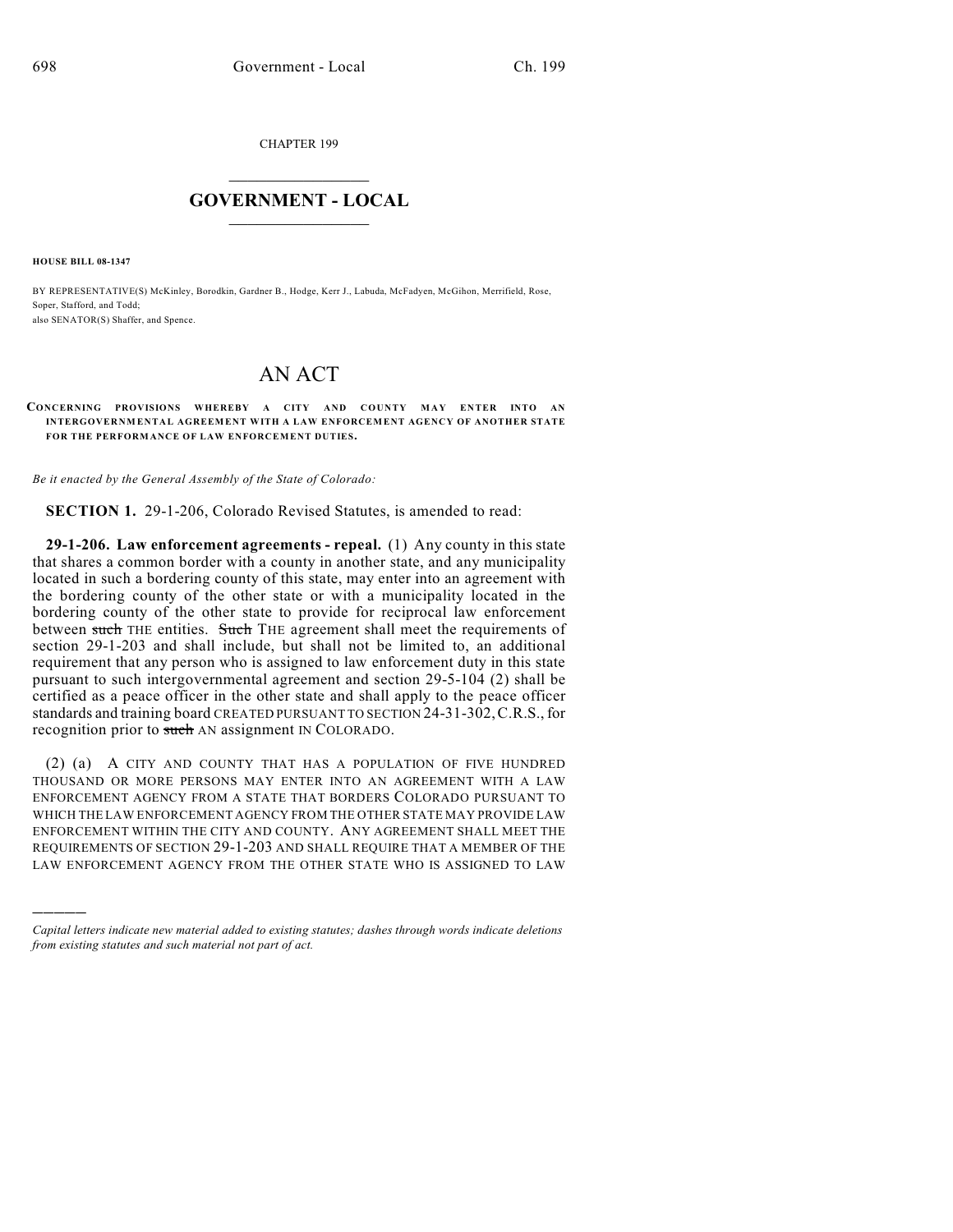CHAPTER 199

## $\mathcal{L}_\text{max}$  . The set of the set of the set of the set of the set of the set of the set of the set of the set of the set of the set of the set of the set of the set of the set of the set of the set of the set of the set **GOVERNMENT - LOCAL**  $\_$

**HOUSE BILL 08-1347**

)))))

BY REPRESENTATIVE(S) McKinley, Borodkin, Gardner B., Hodge, Kerr J., Labuda, McFadyen, McGihon, Merrifield, Rose, Soper, Stafford, and Todd; also SENATOR(S) Shaffer, and Spence.

## AN ACT

## **CONCERNING PROVISIONS WHEREBY A CITY AND COUNTY M AY ENTER INTO AN INTERGOVERNM ENTAL AGREEMENT WITH A LAW ENFORCEMENT AGENCY OF ANOTHER STATE FOR THE PERFORMANCE OF LAW ENFORCEMENT DUTIES.**

*Be it enacted by the General Assembly of the State of Colorado:*

**SECTION 1.** 29-1-206, Colorado Revised Statutes, is amended to read:

**29-1-206. Law enforcement agreements - repeal.** (1) Any county in this state that shares a common border with a county in another state, and any municipality located in such a bordering county of this state, may enter into an agreement with the bordering county of the other state or with a municipality located in the bordering county of the other state to provide for reciprocal law enforcement between such THE entities. Such THE agreement shall meet the requirements of section 29-1-203 and shall include, but shall not be limited to, an additional requirement that any person who is assigned to law enforcement duty in this state pursuant to such intergovernmental agreement and section 29-5-104 (2) shall be certified as a peace officer in the other state and shall apply to the peace officer standards and training board CREATED PURSUANT TO SECTION 24-31-302,C.R.S., for recognition prior to such AN assignment IN COLORADO.

(2) (a) A CITY AND COUNTY THAT HAS A POPULATION OF FIVE HUNDRED THOUSAND OR MORE PERSONS MAY ENTER INTO AN AGREEMENT WITH A LAW ENFORCEMENT AGENCY FROM A STATE THAT BORDERS COLORADO PURSUANT TO WHICH THE LAW ENFORCEMENT AGENCY FROM THE OTHER STATE MAY PROVIDE LAW ENFORCEMENT WITHIN THE CITY AND COUNTY. ANY AGREEMENT SHALL MEET THE REQUIREMENTS OF SECTION 29-1-203 AND SHALL REQUIRE THAT A MEMBER OF THE LAW ENFORCEMENT AGENCY FROM THE OTHER STATE WHO IS ASSIGNED TO LAW

*Capital letters indicate new material added to existing statutes; dashes through words indicate deletions from existing statutes and such material not part of act.*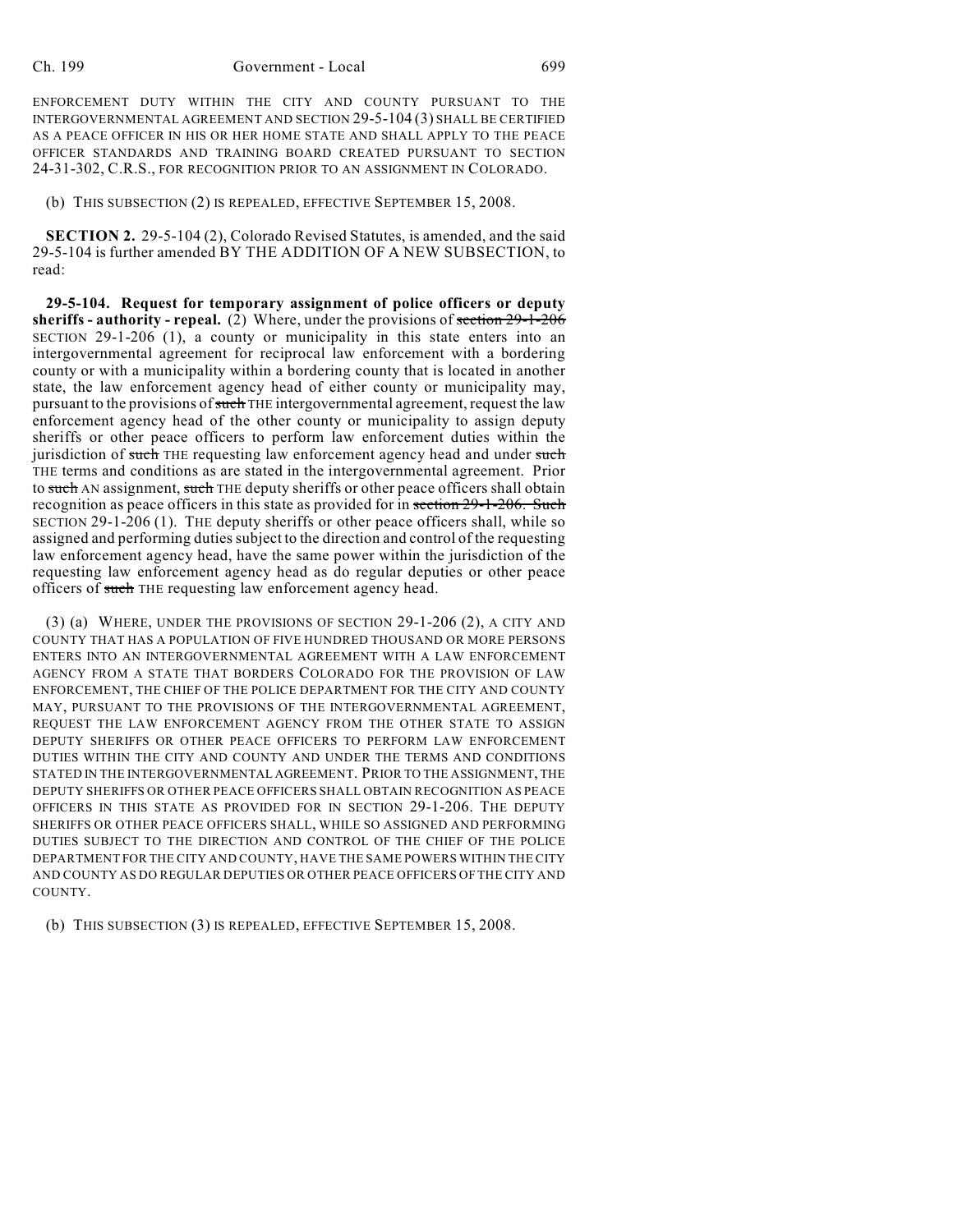ENFORCEMENT DUTY WITHIN THE CITY AND COUNTY PURSUANT TO THE INTERGOVERNMENTAL AGREEMENT AND SECTION 29-5-104 (3) SHALL BE CERTIFIED AS A PEACE OFFICER IN HIS OR HER HOME STATE AND SHALL APPLY TO THE PEACE OFFICER STANDARDS AND TRAINING BOARD CREATED PURSUANT TO SECTION 24-31-302, C.R.S., FOR RECOGNITION PRIOR TO AN ASSIGNMENT IN COLORADO.

(b) THIS SUBSECTION (2) IS REPEALED, EFFECTIVE SEPTEMBER 15, 2008.

**SECTION 2.** 29-5-104 (2), Colorado Revised Statutes, is amended, and the said 29-5-104 is further amended BY THE ADDITION OF A NEW SUBSECTION, to read:

**29-5-104. Request for temporary assignment of police officers or deputy sheriffs - authority - repeal.** (2) Where, under the provisions of section 29-1-206 SECTION 29-1-206 (1), a county or municipality in this state enters into an intergovernmental agreement for reciprocal law enforcement with a bordering county or with a municipality within a bordering county that is located in another state, the law enforcement agency head of either county or municipality may, pursuant to the provisions of such THE intergovernmental agreement, request the law enforcement agency head of the other county or municipality to assign deputy sheriffs or other peace officers to perform law enforcement duties within the jurisdiction of such THE requesting law enforcement agency head and under such THE terms and conditions as are stated in the intergovernmental agreement. Prior to such AN assignment, such THE deputy sheriffs or other peace officers shall obtain recognition as peace officers in this state as provided for in section 29-1-206. Such SECTION 29-1-206 (1). THE deputy sheriffs or other peace officers shall, while so assigned and performing duties subject to the direction and control of the requesting law enforcement agency head, have the same power within the jurisdiction of the requesting law enforcement agency head as do regular deputies or other peace officers of such THE requesting law enforcement agency head.

(3) (a) WHERE, UNDER THE PROVISIONS OF SECTION 29-1-206 (2), A CITY AND COUNTY THAT HAS A POPULATION OF FIVE HUNDRED THOUSAND OR MORE PERSONS ENTERS INTO AN INTERGOVERNMENTAL AGREEMENT WITH A LAW ENFORCEMENT AGENCY FROM A STATE THAT BORDERS COLORADO FOR THE PROVISION OF LAW ENFORCEMENT, THE CHIEF OF THE POLICE DEPARTMENT FOR THE CITY AND COUNTY MAY, PURSUANT TO THE PROVISIONS OF THE INTERGOVERNMENTAL AGREEMENT, REQUEST THE LAW ENFORCEMENT AGENCY FROM THE OTHER STATE TO ASSIGN DEPUTY SHERIFFS OR OTHER PEACE OFFICERS TO PERFORM LAW ENFORCEMENT DUTIES WITHIN THE CITY AND COUNTY AND UNDER THE TERMS AND CONDITIONS STATED IN THE INTERGOVERNMENTAL AGREEMENT. PRIOR TO THE ASSIGNMENT, THE DEPUTY SHERIFFS OR OTHER PEACE OFFICERS SHALL OBTAIN RECOGNITION AS PEACE OFFICERS IN THIS STATE AS PROVIDED FOR IN SECTION 29-1-206. THE DEPUTY SHERIFFS OR OTHER PEACE OFFICERS SHALL, WHILE SO ASSIGNED AND PERFORMING DUTIES SUBJECT TO THE DIRECTION AND CONTROL OF THE CHIEF OF THE POLICE DEPARTMENT FOR THE CITY AND COUNTY, HAVE THE SAME POWERS WITHIN THE CITY AND COUNTY AS DO REGULAR DEPUTIES OR OTHER PEACE OFFICERS OFTHE CITY AND COUNTY.

(b) THIS SUBSECTION (3) IS REPEALED, EFFECTIVE SEPTEMBER 15, 2008.